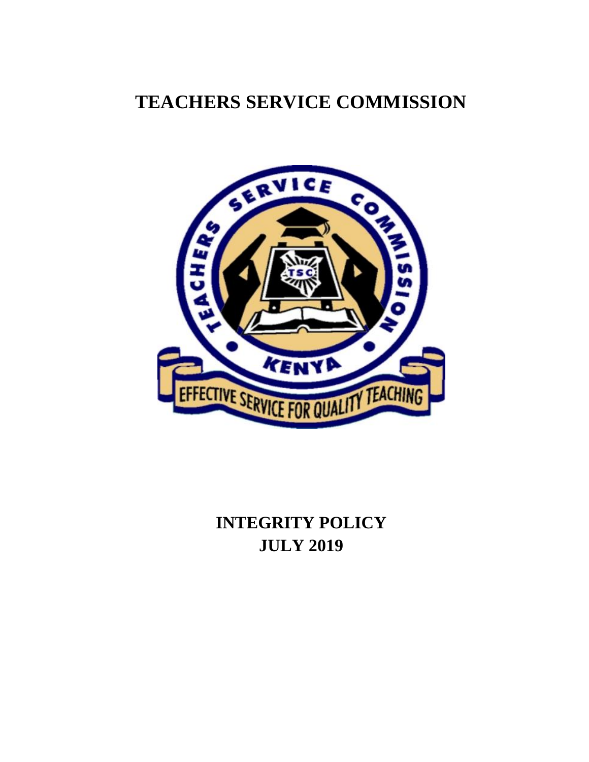# **TEACHERS SERVICE COMMISSION**



# **INTEGRITY POLICY JULY 2019**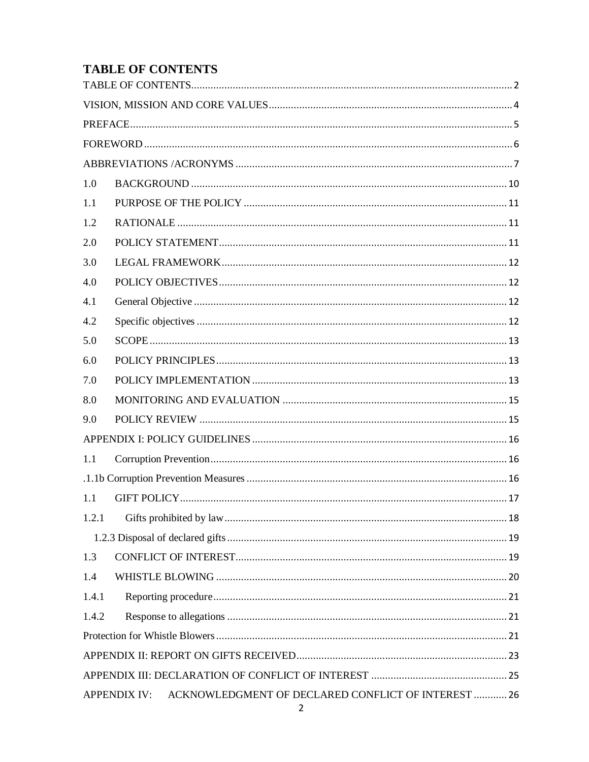## <span id="page-1-0"></span>**TABLE OF CONTENTS**

| 1.0                                                                        |  |  |  |  |
|----------------------------------------------------------------------------|--|--|--|--|
| 1.1                                                                        |  |  |  |  |
| 1.2                                                                        |  |  |  |  |
| 2.0                                                                        |  |  |  |  |
| 3.0                                                                        |  |  |  |  |
| 4.0                                                                        |  |  |  |  |
| 4.1                                                                        |  |  |  |  |
| 4.2                                                                        |  |  |  |  |
| 5.0                                                                        |  |  |  |  |
| 6.0                                                                        |  |  |  |  |
| 7.0                                                                        |  |  |  |  |
| 8.0                                                                        |  |  |  |  |
| 9.0                                                                        |  |  |  |  |
|                                                                            |  |  |  |  |
| 1.1                                                                        |  |  |  |  |
|                                                                            |  |  |  |  |
| 1.1                                                                        |  |  |  |  |
| 1.2.1                                                                      |  |  |  |  |
|                                                                            |  |  |  |  |
| 1.3                                                                        |  |  |  |  |
| 1.4                                                                        |  |  |  |  |
| 1.4.1                                                                      |  |  |  |  |
| 1.4.2                                                                      |  |  |  |  |
|                                                                            |  |  |  |  |
|                                                                            |  |  |  |  |
|                                                                            |  |  |  |  |
| ACKNOWLEDGMENT OF DECLARED CONFLICT OF INTEREST  26<br><b>APPENDIX IV:</b> |  |  |  |  |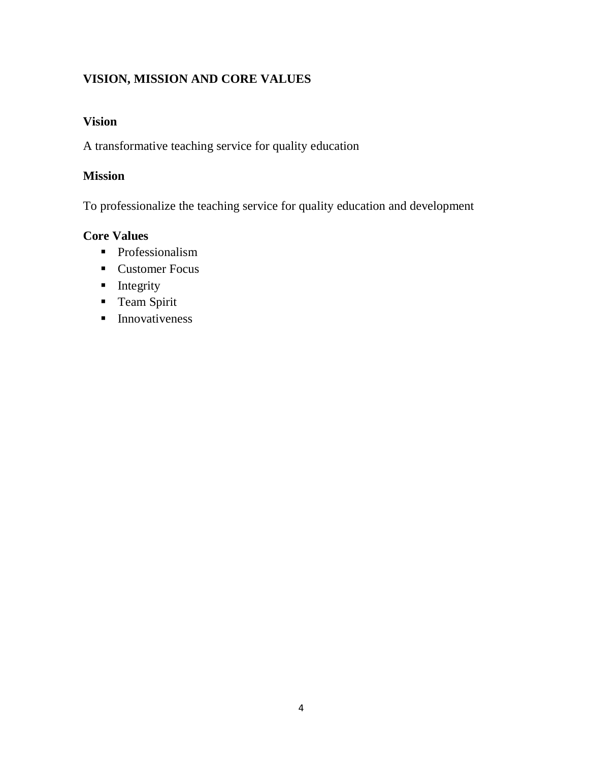## <span id="page-3-0"></span>**VISION, MISSION AND CORE VALUES**

## **Vision**

A transformative teaching service for quality education

## **Mission**

To professionalize the teaching service for quality education and development

## **Core Values**

- **Professionalism**
- Customer Focus
- $\blacksquare$  Integrity
- **Team Spirit**
- **Innovativeness**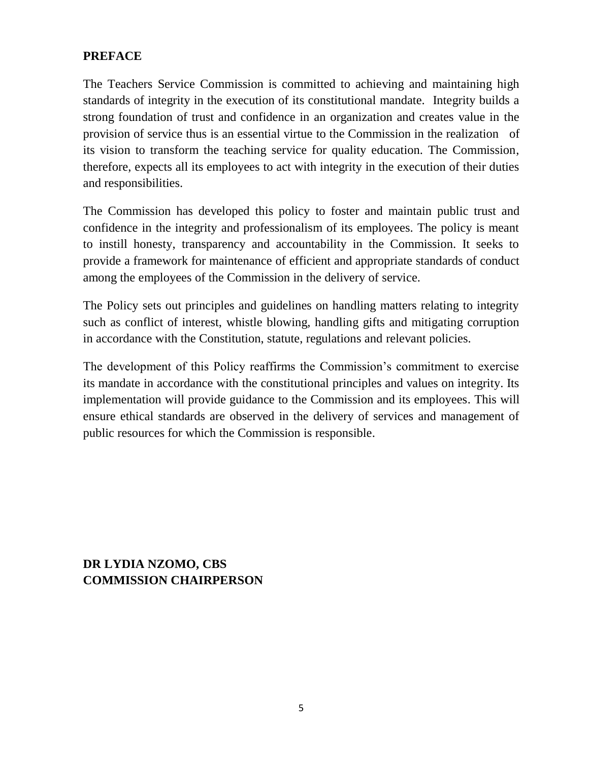## <span id="page-4-0"></span>**PREFACE**

The Teachers Service Commission is committed to achieving and maintaining high standards of integrity in the execution of its constitutional mandate. Integrity builds a strong foundation of trust and confidence in an organization and creates value in the provision of service thus is an essential virtue to the Commission in the realization of its vision to transform the teaching service for quality education. The Commission, therefore, expects all its employees to act with integrity in the execution of their duties and responsibilities.

The Commission has developed this policy to foster and maintain public trust and confidence in the integrity and professionalism of its employees. The policy is meant to instill honesty, transparency and accountability in the Commission. It seeks to provide a framework for maintenance of efficient and appropriate standards of conduct among the employees of the Commission in the delivery of service.

The Policy sets out principles and guidelines on handling matters relating to integrity such as conflict of interest, whistle blowing, handling gifts and mitigating corruption in accordance with the Constitution, statute, regulations and relevant policies.

The development of this Policy reaffirms the Commission's commitment to exercise its mandate in accordance with the constitutional principles and values on integrity. Its implementation will provide guidance to the Commission and its employees. This will ensure ethical standards are observed in the delivery of services and management of public resources for which the Commission is responsible.

**DR LYDIA NZOMO, CBS COMMISSION CHAIRPERSON**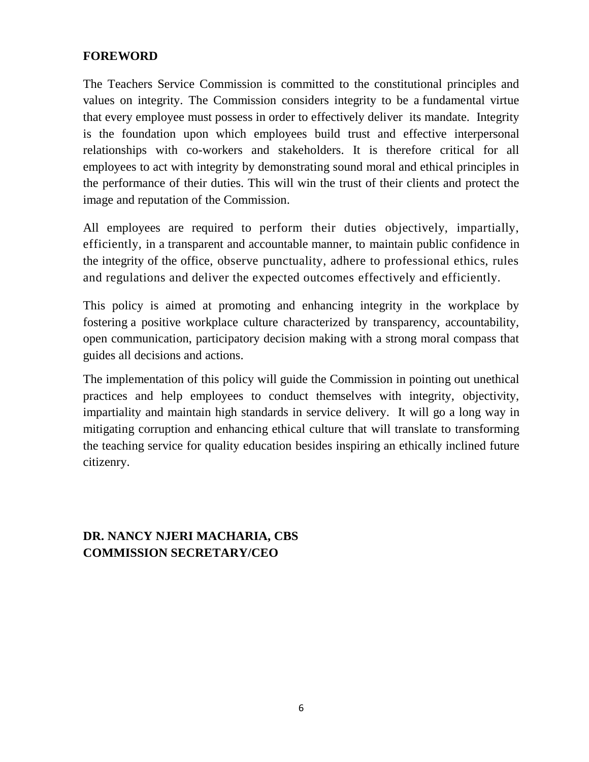#### <span id="page-5-0"></span>**FOREWORD**

The Teachers Service Commission is committed to the constitutional principles and values on integrity. The Commission considers integrity to be a [fundamental virtue](https://www.thebalance.com/core-values-are-what-you-believe-1918079)  [that every employee must possess in order to effectively deliver its](https://www.thebalance.com/core-values-are-what-you-believe-1918079) mandate. Integrity is the foundation upon which employees build trust and effective interpersonal relationships with co-workers and stakeholders. It is therefore critical for all employees to act with integrity by demonstrating sound moral and ethical principles in the performance of their duties. This will win the trust of their clients and protect the image and reputation of the Commission.

All employees are required to perform their duties objectively, impartially, efficiently, in a transparent and accountable manner, to maintain public confidence in the integrity of the office, observe punctuality, adhere to professional ethics, rules and regulations and deliver the expected outcomes effectively and efficiently.

This policy is aimed at promoting and enhancing integrity in the workplace by fostering a positive workplace culture characterized by transparency, accountability, open communication, participatory decision making with a strong moral compass that guides all decisions and actions.

The implementation of this policy will guide the Commission in pointing out unethical practices and help employees to conduct themselves with integrity, objectivity, impartiality and maintain high standards in service delivery. It will go a long way in mitigating corruption and enhancing ethical culture that will translate to transforming the teaching service for quality education besides inspiring an ethically inclined future citizenry.

## **DR. NANCY NJERI MACHARIA, CBS COMMISSION SECRETARY/CEO**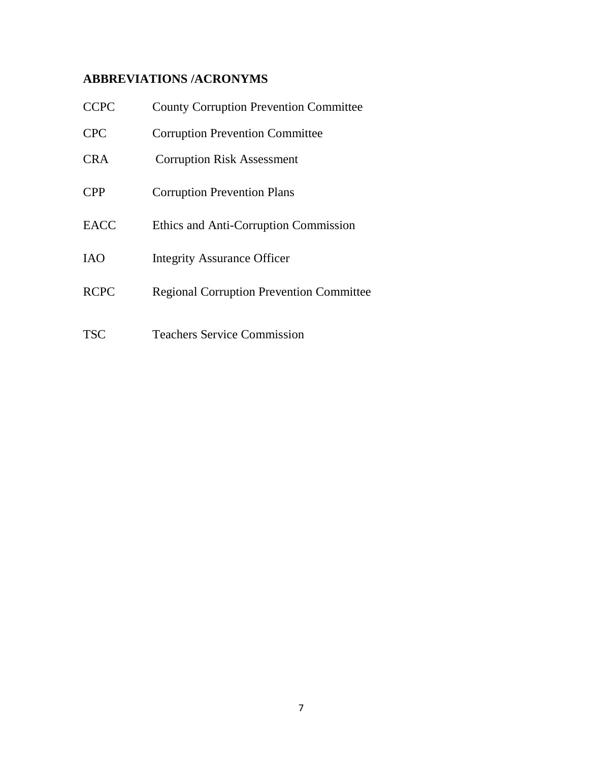## <span id="page-6-0"></span>**ABBREVIATIONS /ACRONYMS**

| <b>CCPC</b> | <b>County Corruption Prevention Committee</b>   |
|-------------|-------------------------------------------------|
| <b>CPC</b>  | <b>Corruption Prevention Committee</b>          |
| <b>CRA</b>  | <b>Corruption Risk Assessment</b>               |
| <b>CPP</b>  | <b>Corruption Prevention Plans</b>              |
| <b>EACC</b> | Ethics and Anti-Corruption Commission           |
| <b>IAO</b>  | <b>Integrity Assurance Officer</b>              |
| <b>RCPC</b> | <b>Regional Corruption Prevention Committee</b> |
| <b>TSC</b>  | <b>Teachers Service Commission</b>              |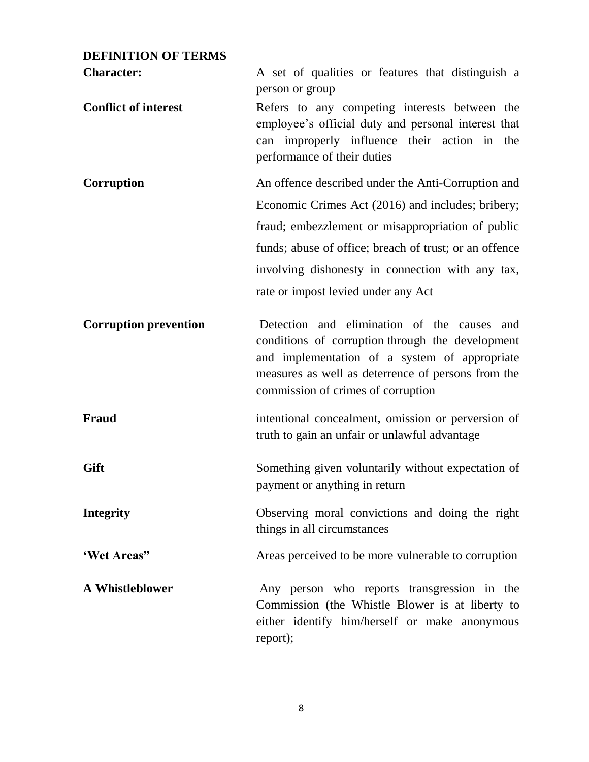## **DEFINITION OF TERMS**

| <b>Character:</b>            | A set of qualities or features that distinguish a<br>person or group                                                                                                                                                                         |  |  |  |  |
|------------------------------|----------------------------------------------------------------------------------------------------------------------------------------------------------------------------------------------------------------------------------------------|--|--|--|--|
| <b>Conflict of interest</b>  | Refers to any competing interests between the<br>employee's official duty and personal interest that<br>can improperly influence their action in the<br>performance of their duties                                                          |  |  |  |  |
| Corruption                   | An offence described under the Anti-Corruption and                                                                                                                                                                                           |  |  |  |  |
|                              | Economic Crimes Act (2016) and includes; bribery;                                                                                                                                                                                            |  |  |  |  |
|                              | fraud; embezzlement or misappropriation of public                                                                                                                                                                                            |  |  |  |  |
|                              | funds; abuse of office; breach of trust; or an offence                                                                                                                                                                                       |  |  |  |  |
|                              | involving dishonesty in connection with any tax,                                                                                                                                                                                             |  |  |  |  |
|                              | rate or impost levied under any Act                                                                                                                                                                                                          |  |  |  |  |
| <b>Corruption prevention</b> | Detection and elimination of the causes and<br>conditions of corruption through the development<br>and implementation of a system of appropriate<br>measures as well as deterrence of persons from the<br>commission of crimes of corruption |  |  |  |  |
| <b>Fraud</b>                 | intentional concealment, omission or perversion of<br>truth to gain an unfair or unlawful advantage                                                                                                                                          |  |  |  |  |
| Gift                         | Something given voluntarily without expectation of<br>payment or anything in return                                                                                                                                                          |  |  |  |  |
| <b>Integrity</b>             | Observing moral convictions and doing the right<br>things in all circumstances                                                                                                                                                               |  |  |  |  |
| 'Wet Areas"                  | Areas perceived to be more vulnerable to corruption                                                                                                                                                                                          |  |  |  |  |
| <b>A Whistleblower</b>       | Any person who reports transgression in the<br>Commission (the Whistle Blower is at liberty to<br>either identify him/herself or make anonymous<br>report);                                                                                  |  |  |  |  |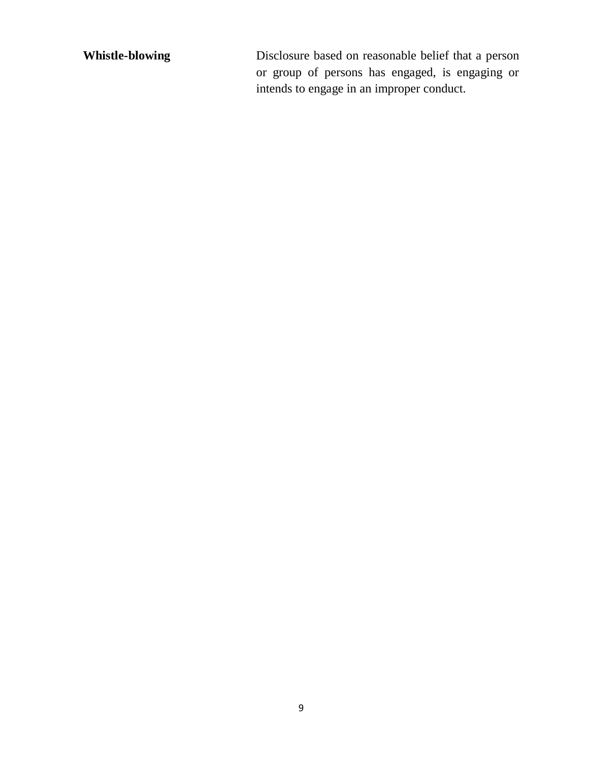**Whistle-blowing** Disclosure based on reasonable belief that a person or group of persons has engaged, is engaging or intends to engage in an improper conduct.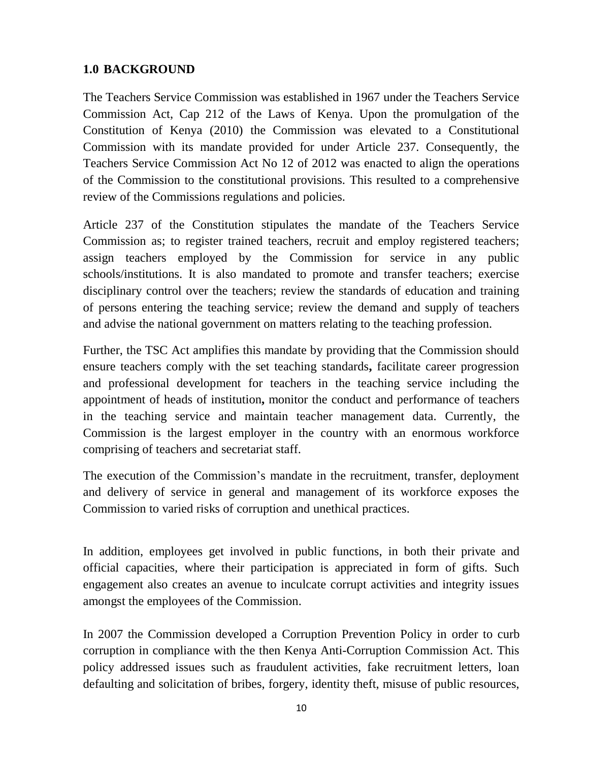## <span id="page-9-0"></span>**1.0 BACKGROUND**

The Teachers Service Commission was established in 1967 under the Teachers Service Commission Act, Cap 212 of the Laws of Kenya. Upon the promulgation of the Constitution of Kenya (2010) the Commission was elevated to a Constitutional Commission with its mandate provided for under Article 237. Consequently, the Teachers Service Commission Act No 12 of 2012 was enacted to align the operations of the Commission to the constitutional provisions. This resulted to a comprehensive review of the Commissions regulations and policies.

Article 237 of the Constitution stipulates the mandate of the Teachers Service Commission as; to register trained teachers, recruit and employ registered teachers; assign teachers employed by the Commission for service in any public schools/institutions. It is also mandated to promote and transfer teachers; exercise disciplinary control over the teachers; review the standards of education and training of persons entering the teaching service; review the demand and supply of teachers and advise the national government on matters relating to the teaching profession.

Further, the TSC Act amplifies this mandate by providing that the Commission should ensure teachers comply with the set teaching standards**,** facilitate career progression and professional development for teachers in the teaching service including the appointment of heads of institution**,** monitor the conduct and performance of teachers in the teaching service and maintain teacher management data. Currently, the Commission is the largest employer in the country with an enormous workforce comprising of teachers and secretariat staff.

The execution of the Commission's mandate in the recruitment, transfer, deployment and delivery of service in general and management of its workforce exposes the Commission to varied risks of corruption and unethical practices.

In addition, employees get involved in public functions, in both their private and official capacities, where their participation is appreciated in form of gifts. Such engagement also creates an avenue to inculcate corrupt activities and integrity issues amongst the employees of the Commission.

In 2007 the Commission developed a Corruption Prevention Policy in order to curb corruption in compliance with the then Kenya Anti-Corruption Commission Act. This policy addressed issues such as fraudulent activities, fake recruitment letters, loan defaulting and solicitation of bribes, forgery, identity theft, misuse of public resources,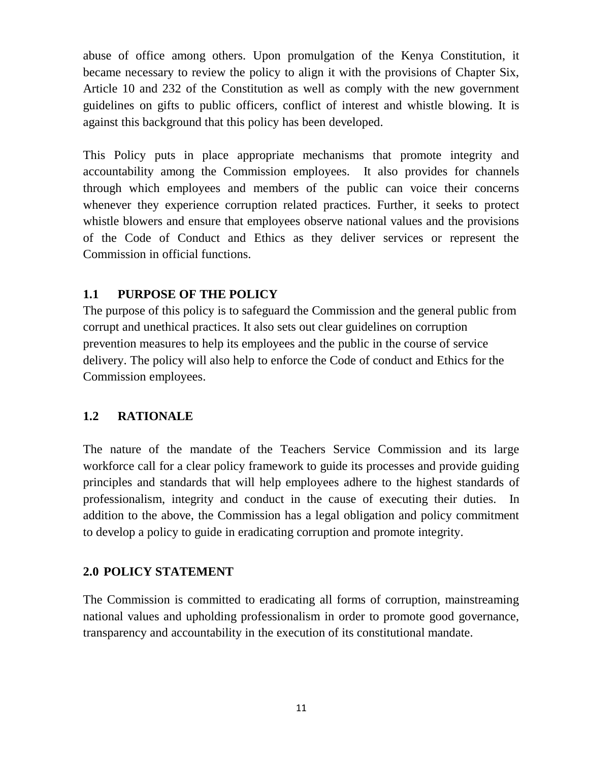abuse of office among others. Upon promulgation of the Kenya Constitution, it became necessary to review the policy to align it with the provisions of Chapter Six, Article 10 and 232 of the Constitution as well as comply with the new government guidelines on gifts to public officers, conflict of interest and whistle blowing. It is against this background that this policy has been developed.

This Policy puts in place appropriate mechanisms that promote integrity and accountability among the Commission employees. It also provides for channels through which employees and members of the public can voice their concerns whenever they experience corruption related practices. Further, it seeks to protect whistle blowers and ensure that employees observe national values and the provisions of the Code of Conduct and Ethics as they deliver services or represent the Commission in official functions.

## <span id="page-10-0"></span>**1.1 PURPOSE OF THE POLICY**

The purpose of this policy is to safeguard the Commission and the general public from corrupt and unethical practices. It also sets out clear guidelines on corruption prevention measures to help its employees and the public in the course of service delivery. The policy will also help to enforce the Code of conduct and Ethics for the Commission employees.

## <span id="page-10-1"></span>**1.2 RATIONALE**

The nature of the mandate of the Teachers Service Commission and its large workforce call for a clear policy framework to guide its processes and provide guiding principles and standards that will help employees adhere to the highest standards of professionalism, integrity and conduct in the cause of executing their duties. In addition to the above, the Commission has a legal obligation and policy commitment to develop a policy to guide in eradicating corruption and promote integrity.

#### <span id="page-10-2"></span>**2.0 POLICY STATEMENT**

The Commission is committed to eradicating all forms of corruption, mainstreaming national values and upholding professionalism in order to promote good governance, transparency and accountability in the execution of its constitutional mandate.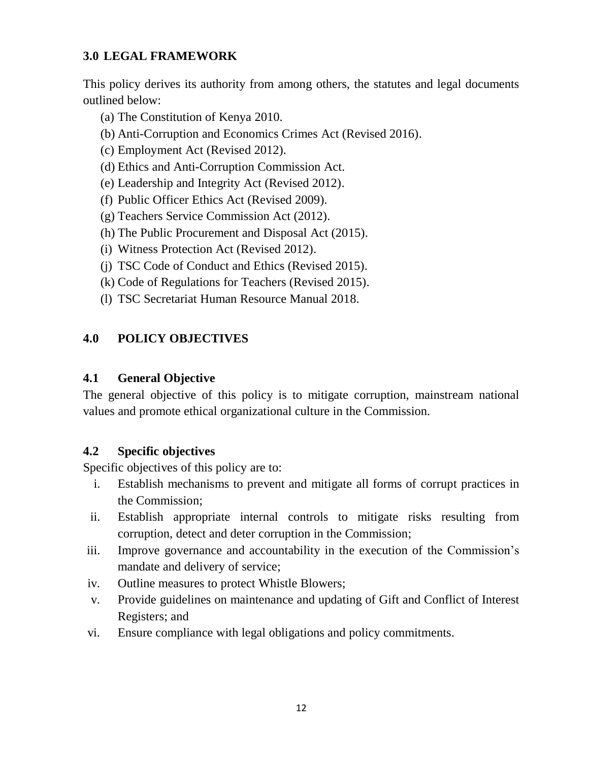## <span id="page-11-0"></span>**3.0 LEGAL FRAMEWORK**

This policy derives its authority from among others, the statutes and legal documents outlined below:

- (a) The Constitution of Kenya 2010.
- (b) Anti-Corruption and Economics Crimes Act (Revised 2016).
- (c) Employment Act (Revised 2012).
- (d) Ethics and Anti-Corruption Commission Act.
- (e) Leadership and Integrity Act (Revised 2012).
- (f) Public Officer Ethics Act (Revised 2009).
- (g) Teachers Service Commission Act (2012).
- (h) The Public Procurement and Disposal Act (2015).
- (i) Witness Protection Act (Revised 2012).
- (j) TSC Code of Conduct and Ethics (Revised 2015).
- (k) Code of Regulations for Teachers (Revised 2015).
- (l) TSC Secretariat Human Resource Manual 2018.

## <span id="page-11-2"></span><span id="page-11-1"></span>**4.0 POLICY OBJECTIVES**

#### **4.1 General Objective**

The general objective of this policy is to mitigate corruption, mainstream national values and promote ethical organizational culture in the Commission.

## <span id="page-11-3"></span>**4.2 Specific objectives**

Specific objectives of this policy are to:

- i. Establish mechanisms to prevent and mitigate all forms of corrupt practices in the Commission;
- ii. Establish appropriate internal controls to mitigate risks resulting from corruption, detect and deter corruption in the Commission;
- iii. Improve governance and accountability in the execution of the Commission's mandate and delivery of service;
- iv. Outline measures to protect Whistle Blowers;
- v. Provide guidelines on maintenance and updating of Gift and Conflict of Interest Registers; and
- vi. Ensure compliance with legal obligations and policy commitments.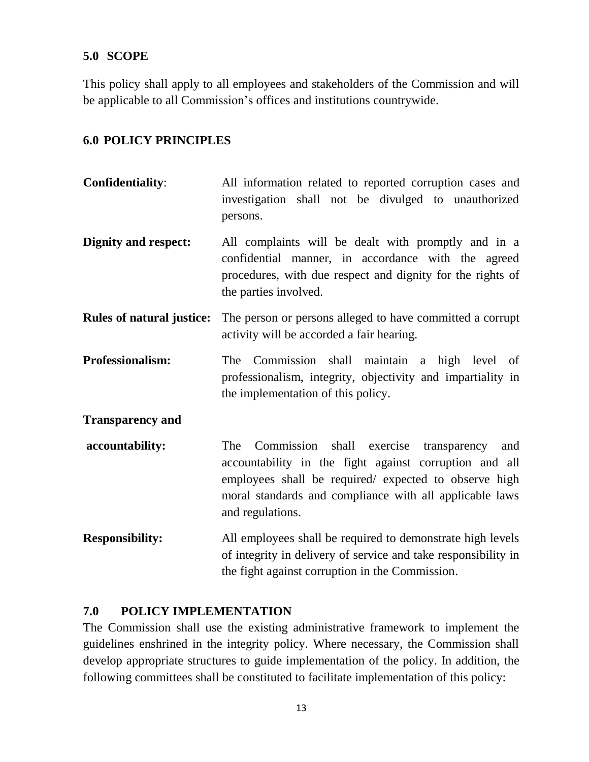#### <span id="page-12-0"></span>**5.0 SCOPE**

This policy shall apply to all employees and stakeholders of the Commission and will be applicable to all Commission's offices and institutions countrywide.

#### <span id="page-12-1"></span>**6.0 POLICY PRINCIPLES**

- **Confidentiality**: All information related to reported corruption cases and investigation shall not be divulged to unauthorized persons.
- **Dignity and respect:** All complaints will be dealt with promptly and in a confidential manner, in accordance with the agreed procedures, with due respect and dignity for the rights of the parties involved.
- **Rules of natural justice:** The person or persons alleged to have committed a corrupt activity will be accorded a fair hearing.
- **Professionalism:** The Commission shall maintain a high level of professionalism, integrity, objectivity and impartiality in the implementation of this policy.

**Transparency and**

- **accountability:** The Commission shall exercise transparency and accountability in the fight against corruption and all employees shall be required/ expected to observe high moral standards and compliance with all applicable laws and regulations.
- **Responsibility:** All employees shall be required to demonstrate high levels of integrity in delivery of service and take responsibility in the fight against corruption in the Commission.

#### <span id="page-12-2"></span>**7.0 POLICY IMPLEMENTATION**

The Commission shall use the existing administrative framework to implement the guidelines enshrined in the integrity policy. Where necessary, the Commission shall develop appropriate structures to guide implementation of the policy. In addition, the following committees shall be constituted to facilitate implementation of this policy: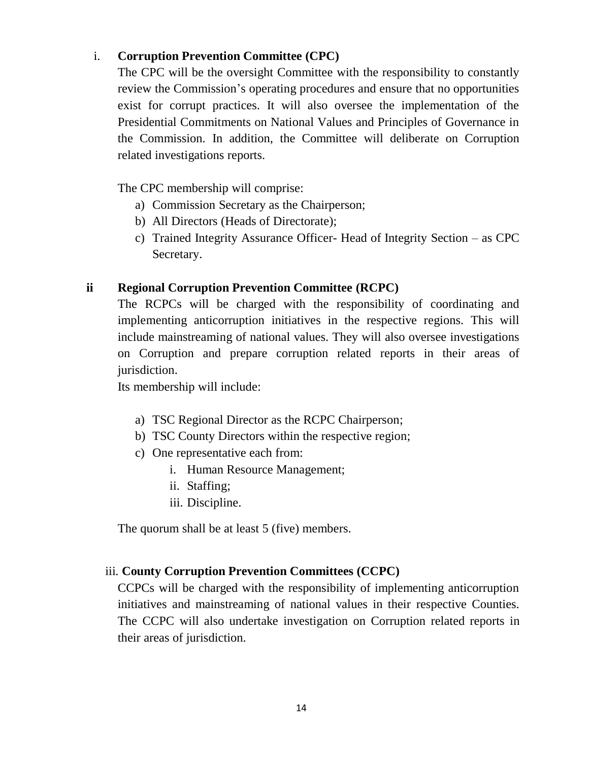#### i. **Corruption Prevention Committee (CPC)**

The CPC will be the oversight Committee with the responsibility to constantly review the Commission's operating procedures and ensure that no opportunities exist for corrupt practices. It will also oversee the implementation of the Presidential Commitments on National Values and Principles of Governance in the Commission. In addition, the Committee will deliberate on Corruption related investigations reports.

The CPC membership will comprise:

- a) Commission Secretary as the Chairperson;
- b) All Directors (Heads of Directorate);
- c) Trained Integrity Assurance Officer- Head of Integrity Section as CPC Secretary.

## **ii Regional Corruption Prevention Committee (RCPC)**

The RCPCs will be charged with the responsibility of coordinating and implementing anticorruption initiatives in the respective regions. This will include mainstreaming of national values. They will also oversee investigations on Corruption and prepare corruption related reports in their areas of jurisdiction.

Its membership will include:

- a) TSC Regional Director as the RCPC Chairperson;
- b) TSC County Directors within the respective region;
- c) One representative each from:
	- i. Human Resource Management;
	- ii. Staffing;
	- iii. Discipline.

The quorum shall be at least 5 (five) members.

## iii. **County Corruption Prevention Committees (CCPC)**

CCPCs will be charged with the responsibility of implementing anticorruption initiatives and mainstreaming of national values in their respective Counties. The CCPC will also undertake investigation on Corruption related reports in their areas of jurisdiction.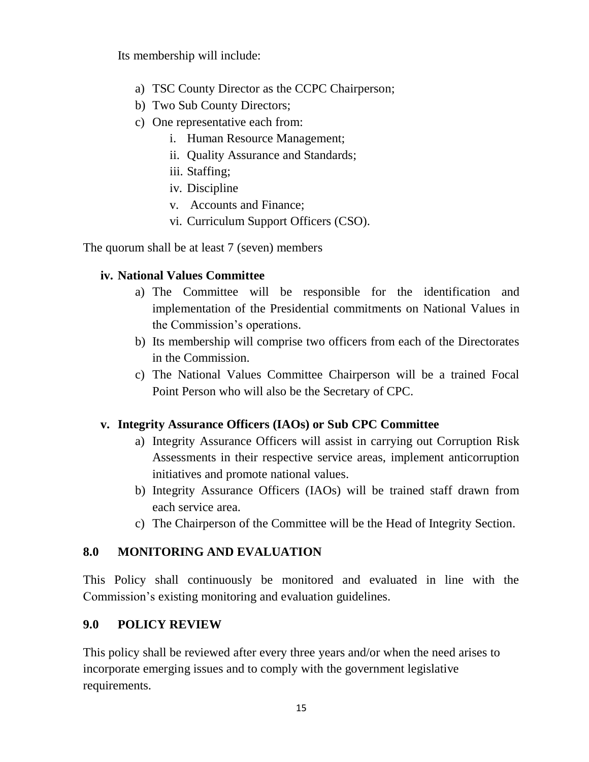Its membership will include:

- a) TSC County Director as the CCPC Chairperson;
- b) Two Sub County Directors;
- c) One representative each from:
	- i. Human Resource Management;
	- ii. Quality Assurance and Standards;
	- iii. Staffing;
	- iv. Discipline
	- v. Accounts and Finance;
	- vi. Curriculum Support Officers (CSO).

The quorum shall be at least 7 (seven) members

## **iv. National Values Committee**

- a) The Committee will be responsible for the identification and implementation of the Presidential commitments on National Values in the Commission's operations.
- b) Its membership will comprise two officers from each of the Directorates in the Commission.
- c) The National Values Committee Chairperson will be a trained Focal Point Person who will also be the Secretary of CPC.

## **v. Integrity Assurance Officers (IAOs) or Sub CPC Committee**

- a) Integrity Assurance Officers will assist in carrying out Corruption Risk Assessments in their respective service areas, implement anticorruption initiatives and promote national values.
- b) Integrity Assurance Officers (IAOs) will be trained staff drawn from each service area.
- c) The Chairperson of the Committee will be the Head of Integrity Section.

## <span id="page-14-0"></span>**8.0 MONITORING AND EVALUATION**

This Policy shall continuously be monitored and evaluated in line with the Commission's existing monitoring and evaluation guidelines.

## <span id="page-14-1"></span>**9.0 POLICY REVIEW**

<span id="page-14-2"></span>This policy shall be reviewed after every three years and/or when the need arises to incorporate emerging issues and to comply with the government legislative requirements.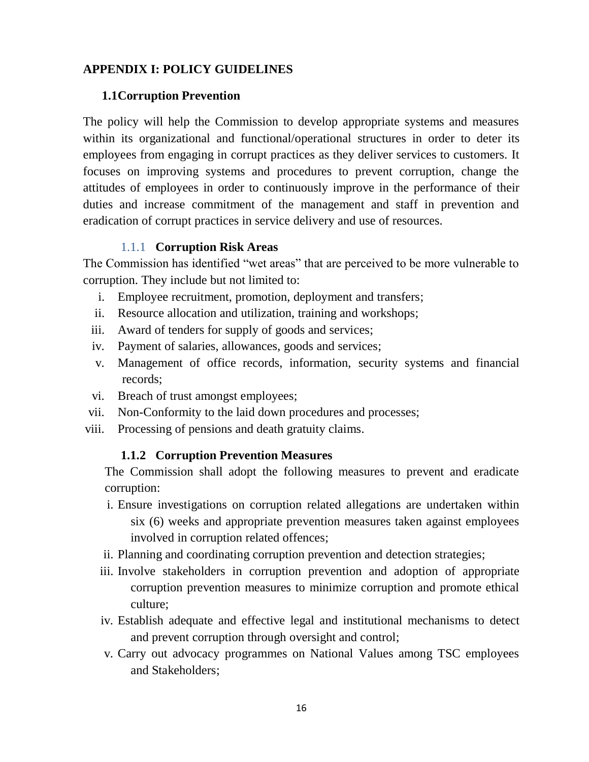## <span id="page-15-0"></span>**APPENDIX I: POLICY GUIDELINES**

#### **1.1Corruption Prevention**

The policy will help the Commission to develop appropriate systems and measures within its organizational and functional/operational structures in order to deter its employees from engaging in corrupt practices as they deliver services to customers. It focuses on improving systems and procedures to prevent corruption, change the attitudes of employees in order to continuously improve in the performance of their duties and increase commitment of the management and staff in prevention and eradication of corrupt practices in service delivery and use of resources.

#### 1.1.1 **Corruption Risk Areas**

The Commission has identified "wet areas" that are perceived to be more vulnerable to corruption. They include but not limited to:

- i. Employee recruitment, promotion, deployment and transfers;
- ii. Resource allocation and utilization, training and workshops;
- iii. Award of tenders for supply of goods and services;
- iv. Payment of salaries, allowances, goods and services;
- v. Management of office records, information, security systems and financial records;
- vi. Breach of trust amongst employees;
- vii. Non-Conformity to the laid down procedures and processes;
- <span id="page-15-1"></span>viii. Processing of pensions and death gratuity claims.

#### **1.1.2 Corruption Prevention Measures**

The Commission shall adopt the following measures to prevent and eradicate corruption:

- i. Ensure investigations on corruption related allegations are undertaken within six (6) weeks and appropriate prevention measures taken against employees involved in corruption related offences;
- ii. Planning and coordinating corruption prevention and detection strategies;
- iii. Involve stakeholders in corruption prevention and adoption of appropriate corruption prevention measures to minimize corruption and promote ethical culture;
- iv. Establish adequate and effective legal and institutional mechanisms to detect and prevent corruption through oversight and control;
- v. Carry out advocacy programmes on National Values among TSC employees and Stakeholders;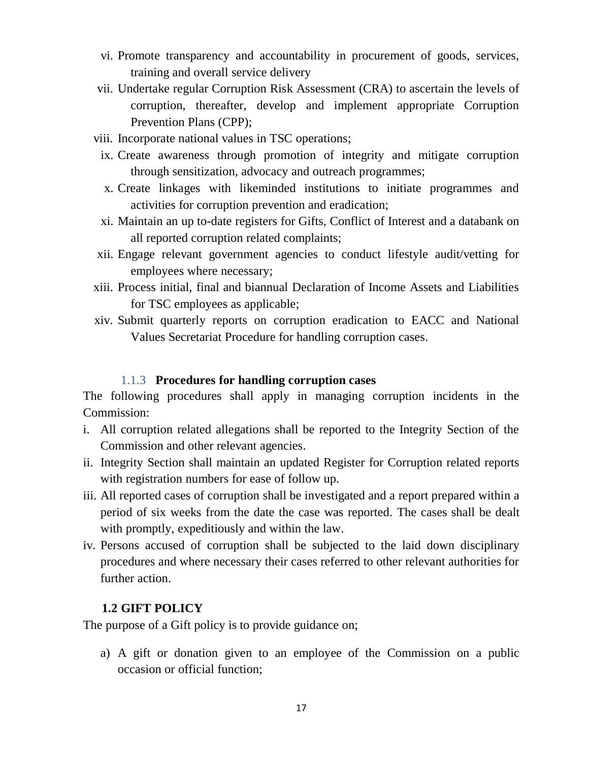- vi. Promote transparency and accountability in procurement of goods, services, training and overall service delivery
- vii. Undertake regular Corruption Risk Assessment (CRA) to ascertain the levels of corruption, thereafter, develop and implement appropriate Corruption Prevention Plans (CPP);
- viii. Incorporate national values in TSC operations;
- ix. Create awareness through promotion of integrity and mitigate corruption through sensitization, advocacy and outreach programmes;
- x. Create linkages with likeminded institutions to initiate programmes and activities for corruption prevention and eradication;
- xi. Maintain an up to-date registers for Gifts, Conflict of Interest and a databank on all reported corruption related complaints;
- xii. Engage relevant government agencies to conduct lifestyle audit/vetting for employees where necessary;
- xiii. Process initial, final and biannual Declaration of Income Assets and Liabilities for TSC employees as applicable;
- xiv. Submit quarterly reports on corruption eradication to EACC and National Values Secretariat Procedure for handling corruption cases.

#### 1.1.3 **Procedures for handling corruption cases**

The following procedures shall apply in managing corruption incidents in the Commission:

- i. All corruption related allegations shall be reported to the Integrity Section of the Commission and other relevant agencies.
- ii. Integrity Section shall maintain an updated Register for Corruption related reports with registration numbers for ease of follow up.
- iii. All reported cases of corruption shall be investigated and a report prepared within a period of six weeks from the date the case was reported. The cases shall be dealt with promptly, expeditiously and within the law.
- iv. Persons accused of corruption shall be subjected to the laid down disciplinary procedures and where necessary their cases referred to other relevant authorities for further action.

#### <span id="page-16-0"></span>**1.2 GIFT POLICY**

The purpose of a Gift policy is to provide guidance on;

a) A gift or donation given to an employee of the Commission on a public occasion or official function;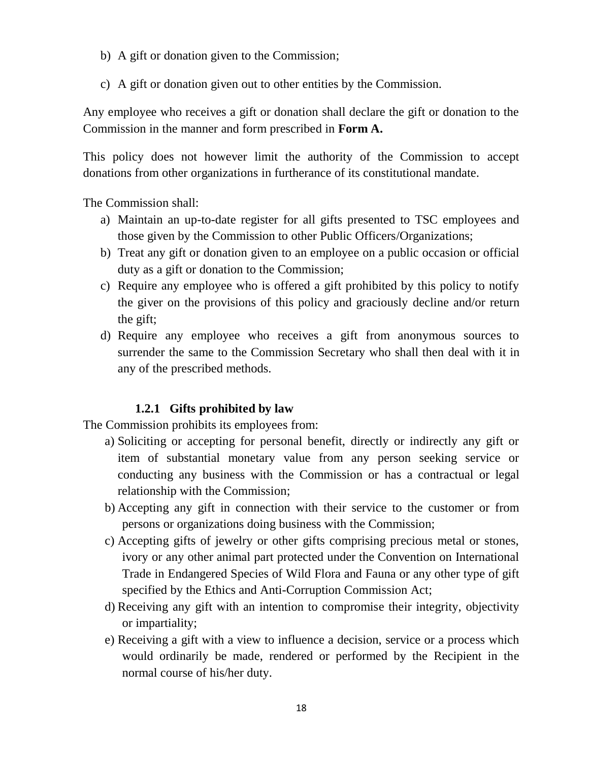- b) A gift or donation given to the Commission;
- c) A gift or donation given out to other entities by the Commission.

Any employee who receives a gift or donation shall declare the gift or donation to the Commission in the manner and form prescribed in **Form A.**

This policy does not however limit the authority of the Commission to accept donations from other organizations in furtherance of its constitutional mandate.

The Commission shall:

- a) Maintain an up-to-date register for all gifts presented to TSC employees and those given by the Commission to other Public Officers/Organizations;
- b) Treat any gift or donation given to an employee on a public occasion or official duty as a gift or donation to the Commission;
- c) Require any employee who is offered a gift prohibited by this policy to notify the giver on the provisions of this policy and graciously decline and/or return the gift;
- d) Require any employee who receives a gift from anonymous sources to surrender the same to the Commission Secretary who shall then deal with it in any of the prescribed methods.

#### **1.2.1 Gifts prohibited by law**

<span id="page-17-0"></span>The Commission prohibits its employees from:

- a) Soliciting or accepting for personal benefit, directly or indirectly any gift or item of substantial monetary value from any person seeking service or conducting any business with the Commission or has a contractual or legal relationship with the Commission;
- b) Accepting any gift in connection with their service to the customer or from persons or organizations doing business with the Commission;
- c) Accepting gifts of jewelry or other gifts comprising precious metal or stones, ivory or any other animal part protected under the Convention on International Trade in Endangered Species of Wild Flora and Fauna or any other type of gift specified by the Ethics and Anti-Corruption Commission Act;
- d) Receiving any gift with an intention to compromise their integrity, objectivity or impartiality;
- e) Receiving a gift with a view to influence a decision, service or a process which would ordinarily be made, rendered or performed by the Recipient in the normal course of his/her duty.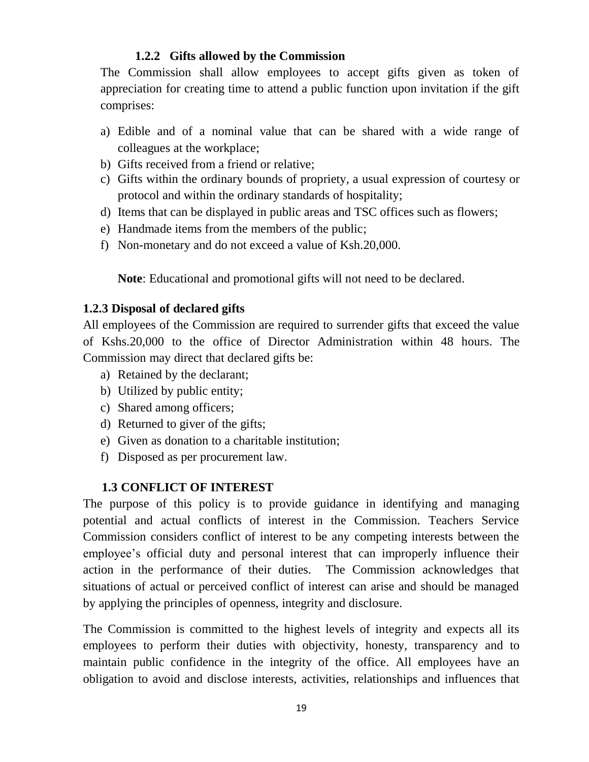#### **1.2.2 Gifts allowed by the Commission**

The Commission shall allow employees to accept gifts given as token of appreciation for creating time to attend a public function upon invitation if the gift comprises:

- a) Edible and of a nominal value that can be shared with a wide range of colleagues at the workplace;
- b) Gifts received from a friend or relative;
- c) Gifts within the ordinary bounds of propriety, a usual expression of courtesy or protocol and within the ordinary standards of hospitality;
- d) Items that can be displayed in public areas and TSC offices such as flowers;
- e) Handmade items from the members of the public;
- f) Non-monetary and do not exceed a value of Ksh.20,000.

**Note**: Educational and promotional gifts will not need to be declared.

## <span id="page-18-0"></span>**1.2.3 Disposal of declared gifts**

All employees of the Commission are required to surrender gifts that exceed the value of Kshs.20,000 to the office of Director Administration within 48 hours. The Commission may direct that declared gifts be:

- a) Retained by the declarant;
- b) Utilized by public entity;
- c) Shared among officers;
- d) Returned to giver of the gifts;
- e) Given as donation to a charitable institution;
- f) Disposed as per procurement law.

## <span id="page-18-1"></span>**1.3 CONFLICT OF INTEREST**

The purpose of this policy is to provide guidance in identifying and managing potential and actual conflicts of interest in the Commission. Teachers Service Commission considers conflict of interest to be any competing interests between the employee's official duty and personal interest that can improperly influence their action in the performance of their duties. The Commission acknowledges that situations of actual or perceived conflict of interest can arise and should be managed by applying the principles of openness, integrity and disclosure.

The Commission is committed to the highest levels of integrity and expects all its employees to perform their duties with objectivity, honesty, transparency and to maintain public confidence in the integrity of the office. All employees have an obligation to avoid and disclose interests, activities, relationships and influences that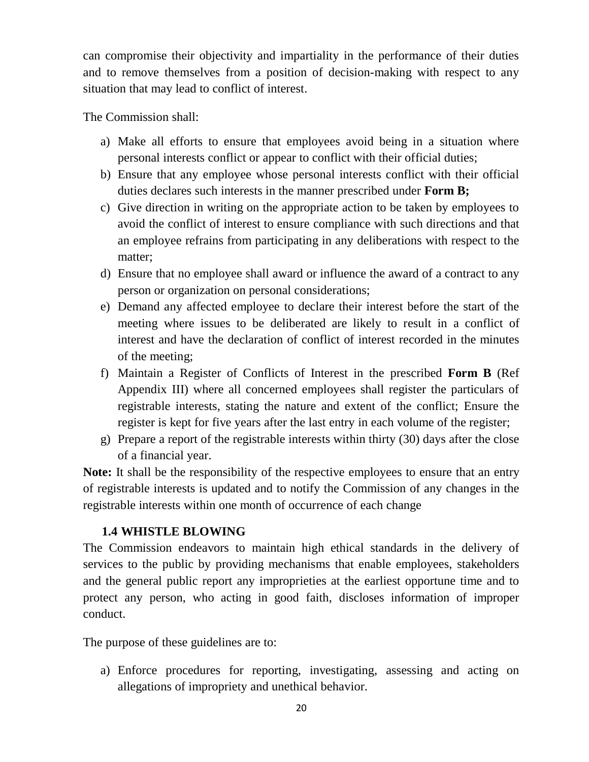can compromise their objectivity and impartiality in the performance of their duties and to remove themselves from a position of decision-making with respect to any situation that may lead to conflict of interest.

The Commission shall:

- a) Make all efforts to ensure that employees avoid being in a situation where personal interests conflict or appear to conflict with their official duties;
- b) Ensure that any employee whose personal interests conflict with their official duties declares such interests in the manner prescribed under **Form B;**
- c) Give direction in writing on the appropriate action to be taken by employees to avoid the conflict of interest to ensure compliance with such directions and that an employee refrains from participating in any deliberations with respect to the matter;
- d) Ensure that no employee shall award or influence the award of a contract to any person or organization on personal considerations;
- e) Demand any affected employee to declare their interest before the start of the meeting where issues to be deliberated are likely to result in a conflict of interest and have the declaration of conflict of interest recorded in the minutes of the meeting;
- f) Maintain a Register of Conflicts of Interest in the prescribed **Form B** (Ref Appendix III) where all concerned employees shall register the particulars of registrable interests, stating the nature and extent of the conflict; Ensure the register is kept for five years after the last entry in each volume of the register;
- g) Prepare a report of the registrable interests within thirty (30) days after the close of a financial year.

**Note:** It shall be the responsibility of the respective employees to ensure that an entry of registrable interests is updated and to notify the Commission of any changes in the registrable interests within one month of occurrence of each change

## <span id="page-19-0"></span>**1.4 WHISTLE BLOWING**

The Commission endeavors to maintain high ethical standards in the delivery of services to the public by providing mechanisms that enable employees, stakeholders and the general public report any improprieties at the earliest opportune time and to protect any person, who acting in good faith, discloses information of improper conduct.

The purpose of these guidelines are to:

a) Enforce procedures for reporting, investigating, assessing and acting on allegations of impropriety and unethical behavior.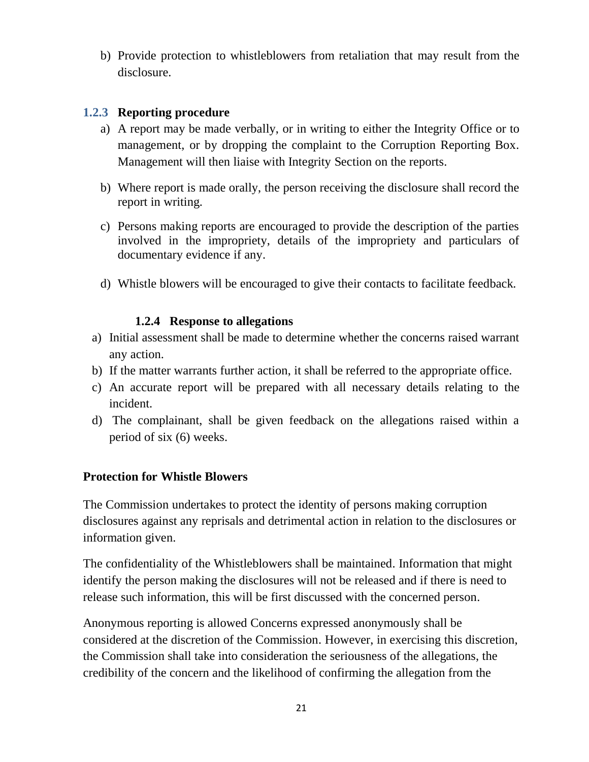b) Provide protection to whistleblowers from retaliation that may result from the disclosure.

#### <span id="page-20-0"></span>**1.2.3 Reporting procedure**

- a) A report may be made verbally, or in writing to either the Integrity Office or to management, or by dropping the complaint to the Corruption Reporting Box. Management will then liaise with Integrity Section on the reports.
- b) Where report is made orally, the person receiving the disclosure shall record the report in writing.
- c) Persons making reports are encouraged to provide the description of the parties involved in the impropriety, details of the impropriety and particulars of documentary evidence if any.
- d) Whistle blowers will be encouraged to give their contacts to facilitate feedback.

#### **1.2.4 Response to allegations**

- <span id="page-20-1"></span>a) Initial assessment shall be made to determine whether the concerns raised warrant any action.
- b) If the matter warrants further action, it shall be referred to the appropriate office.
- c) An accurate report will be prepared with all necessary details relating to the incident.
- d) The complainant, shall be given feedback on the allegations raised within a period of six (6) weeks.

#### <span id="page-20-2"></span>**Protection for Whistle Blowers**

The Commission undertakes to protect the identity of persons making corruption disclosures against any reprisals and detrimental action in relation to the disclosures or information given.

The confidentiality of the Whistleblowers shall be maintained. Information that might identify the person making the disclosures will not be released and if there is need to release such information, this will be first discussed with the concerned person.

Anonymous reporting is allowed Concerns expressed anonymously shall be considered at the discretion of the Commission. However, in exercising this discretion, the Commission shall take into consideration the seriousness of the allegations, the credibility of the concern and the likelihood of confirming the allegation from the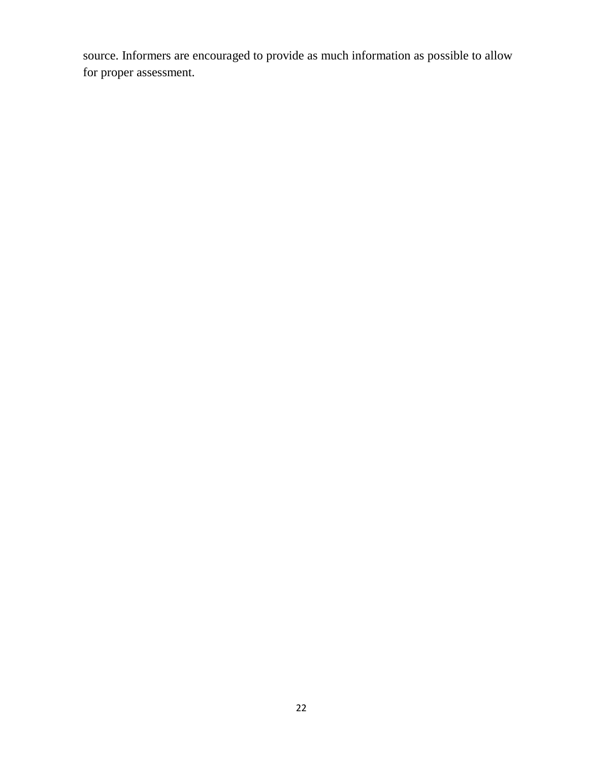<span id="page-21-0"></span>source. Informers are encouraged to provide as much information as possible to allow for proper assessment.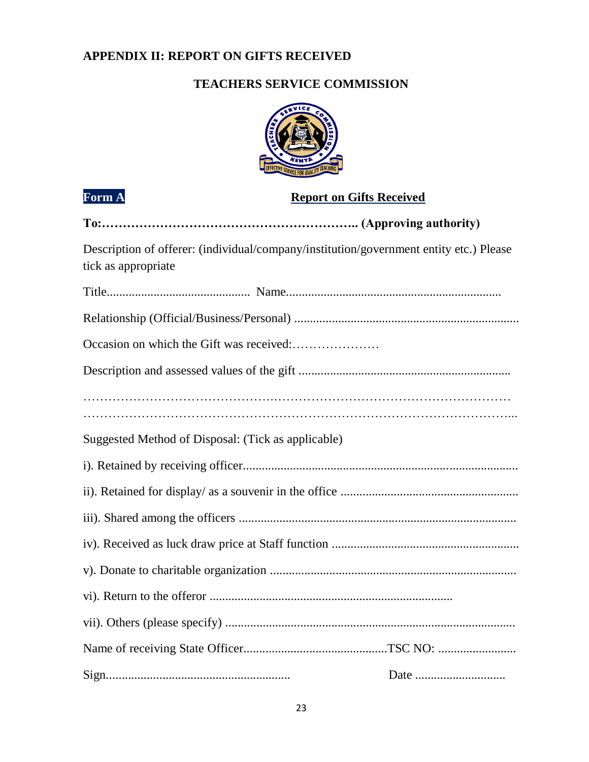## **APPENDIX II: REPORT ON GIFTS RECEIVED**

## **TEACHERS SERVICE COMMISSION**



# **Form A Report on Gifts Received**

| Description of offerer: (individual/company/institution/government entity etc.) Please<br>tick as appropriate |
|---------------------------------------------------------------------------------------------------------------|
|                                                                                                               |
|                                                                                                               |
|                                                                                                               |
|                                                                                                               |
|                                                                                                               |
| Suggested Method of Disposal: (Tick as applicable)                                                            |
|                                                                                                               |
|                                                                                                               |
|                                                                                                               |
|                                                                                                               |
|                                                                                                               |
|                                                                                                               |
|                                                                                                               |
|                                                                                                               |
|                                                                                                               |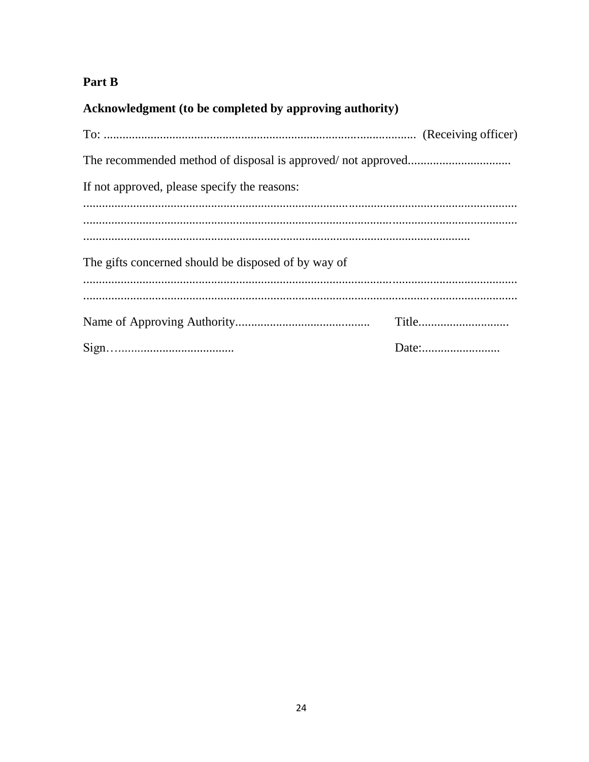# Part B

Acknowledgment (to be completed by approving authority)

| If not approved, please specify the reasons:        |       |  |  |  |  |  |
|-----------------------------------------------------|-------|--|--|--|--|--|
|                                                     |       |  |  |  |  |  |
|                                                     |       |  |  |  |  |  |
| The gifts concerned should be disposed of by way of |       |  |  |  |  |  |
|                                                     |       |  |  |  |  |  |
|                                                     |       |  |  |  |  |  |
|                                                     | Date: |  |  |  |  |  |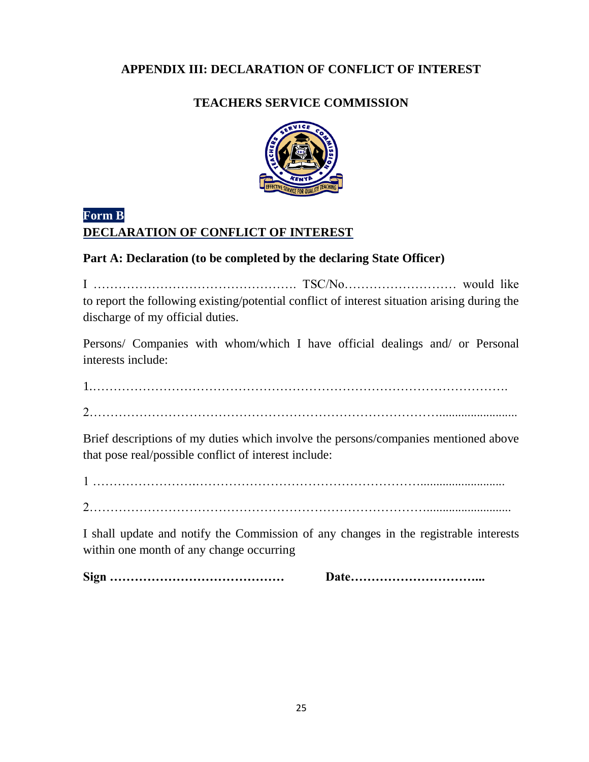## <span id="page-24-0"></span>**APPENDIX III: DECLARATION OF CONFLICT OF INTEREST**

## **TEACHERS SERVICE COMMISSION**



## **Form B DECLARATION OF CONFLICT OF INTEREST**

## **Part A: Declaration (to be completed by the declaring State Officer)**

I …………………………………………. TSC/No……………………… would like to report the following existing/potential conflict of interest situation arising during the discharge of my official duties.

Persons/ Companies with whom/which I have official dealings and/ or Personal interests include:

1.……………………………………………………………………………………….

2………………………………………………………………………….........................

Brief descriptions of my duties which involve the persons/companies mentioned above that pose real/possible conflict of interest include:

1 …………………….………………………………………………...........................

2………………………………………………………………………...........................

I shall update and notify the Commission of any changes in the registrable interests within one month of any change occurring

**Sign …………………………………… Date…………………………...**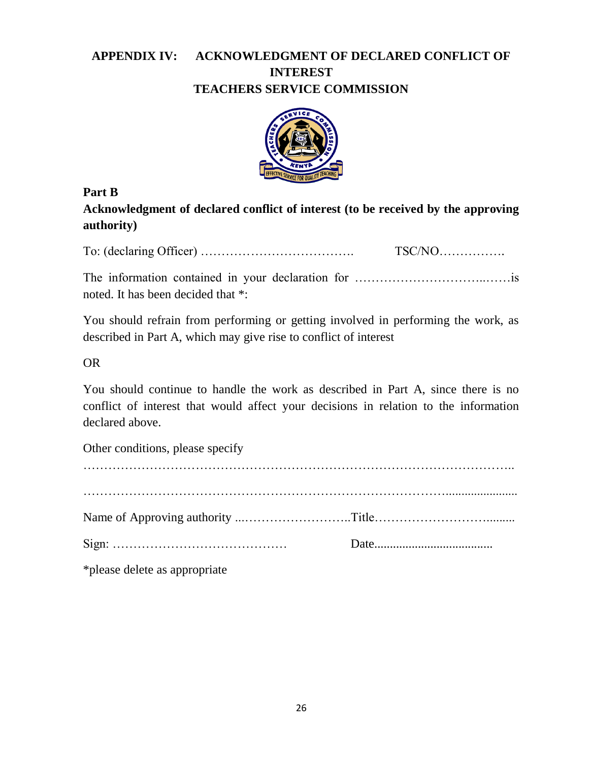## <span id="page-25-0"></span>**APPENDIX IV: ACKNOWLEDGMENT OF DECLARED CONFLICT OF INTEREST TEACHERS SERVICE COMMISSION**



## **Part B**

**Acknowledgment of declared conflict of interest (to be received by the approving authority)**

To: (declaring Officer) ………………………………. TSC/NO…………….

The information contained in your declaration for …………………………..……is noted. It has been decided that \*:

You should refrain from performing or getting involved in performing the work, as described in Part A, which may give rise to conflict of interest

## OR

You should continue to handle the work as described in Part A, since there is no conflict of interest that would affect your decisions in relation to the information declared above.

Other conditions, please specify ………………………………………………………………………………………….. ……………………………………………………………………………....................... Name of Approving authority ...……………………..Title………………………......... Sign: …………………………………… Date...................................... \*please delete as appropriate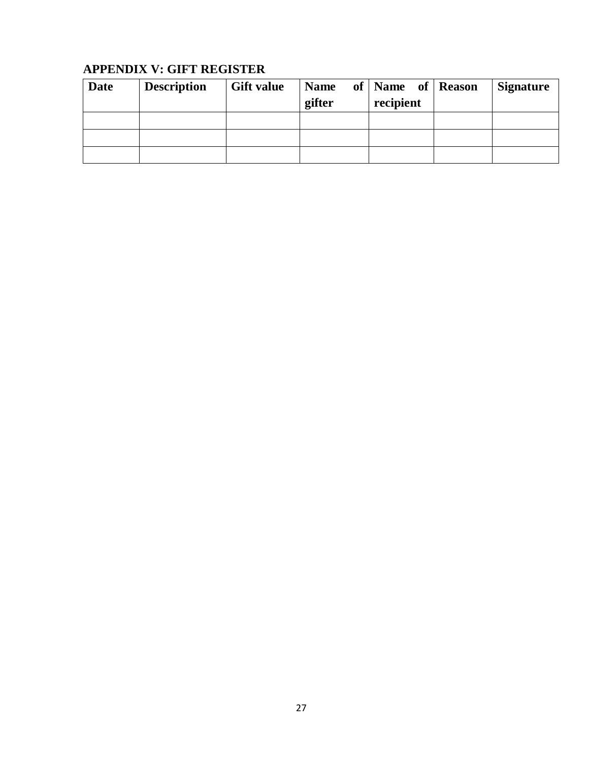## <span id="page-26-0"></span>**APPENDIX V: GIFT REGISTER**

| Date | <b>Description</b> | <b>Gift value</b> | <b>Name</b><br>gifter | of   Name of   Reason<br>recipient | <b>Signature</b> |
|------|--------------------|-------------------|-----------------------|------------------------------------|------------------|
|      |                    |                   |                       |                                    |                  |
|      |                    |                   |                       |                                    |                  |
|      |                    |                   |                       |                                    |                  |